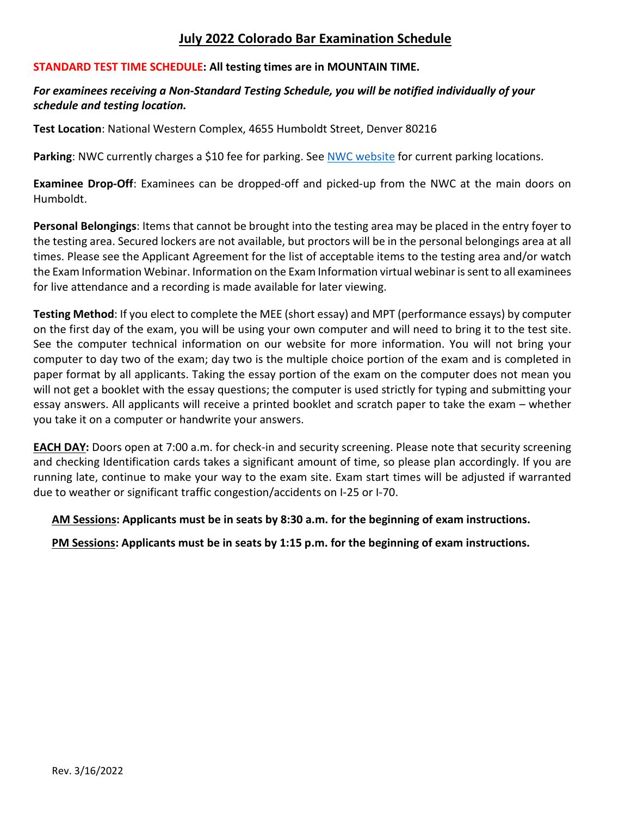## **July 2022 Colorado Bar Examination Schedule**

### **STANDARD TEST TIME SCHEDULE: All testing times are in MOUNTAIN TIME.**

### *For examinees receiving a Non-Standard Testing Schedule, you will be notified individually of your schedule and testing location.*

**Test Location**: National Western Complex, 4655 Humboldt Street, Denver 80216

**Parking**: NWC currently charges a \$10 fee for parking. See [NWC website](https://nationalwesterncomplex.com/map/) for current parking locations.

**Examinee Drop-Off**: Examinees can be dropped-off and picked-up from the NWC at the main doors on Humboldt.

**Personal Belongings**: Items that cannot be brought into the testing area may be placed in the entry foyer to the testing area. Secured lockers are not available, but proctors will be in the personal belongings area at all times. Please see the Applicant Agreement for the list of acceptable items to the testing area and/or watch the Exam Information Webinar. Information on the Exam Information virtual webinar is sent to all examinees for live attendance and a recording is made available for later viewing.

**Testing Method**: If you elect to complete the MEE (short essay) and MPT (performance essays) by computer on the first day of the exam, you will be using your own computer and will need to bring it to the test site. See the computer technical information on our website for more information. You will not bring your computer to day two of the exam; day two is the multiple choice portion of the exam and is completed in paper format by all applicants. Taking the essay portion of the exam on the computer does not mean you will not get a booklet with the essay questions; the computer is used strictly for typing and submitting your essay answers. All applicants will receive a printed booklet and scratch paper to take the exam – whether you take it on a computer or handwrite your answers.

**EACH DAY:** Doors open at 7:00 a.m. for check-in and security screening. Please note that security screening and checking Identification cards takes a significant amount of time, so please plan accordingly. If you are running late, continue to make your way to the exam site. Exam start times will be adjusted if warranted due to weather or significant traffic congestion/accidents on I-25 or I-70.

**AM Sessions: Applicants must be in seats by 8:30 a.m. for the beginning of exam instructions.**

**PM Sessions: Applicants must be in seats by 1:15 p.m. for the beginning of exam instructions.**